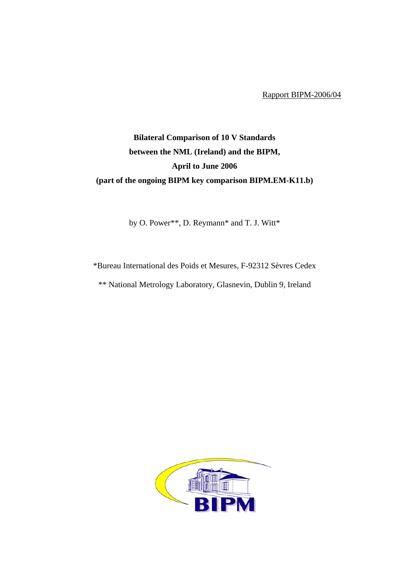Rapport BIPM-2006/04

## **Bilateral Comparison of 10 V Standards between the NML (Ireland) and the BIPM, April to June 2006 (part of the ongoing BIPM key comparison BIPM.EM-K11.b)**

by O. Power\*\*, D. Reymann\* and T. J. Witt\*

\*Bureau International des Poids et Mesures, F-92312 Sèvres Cedex

\*\* National Metrology Laboratory, Glasnevin, Dublin 9, Ireland

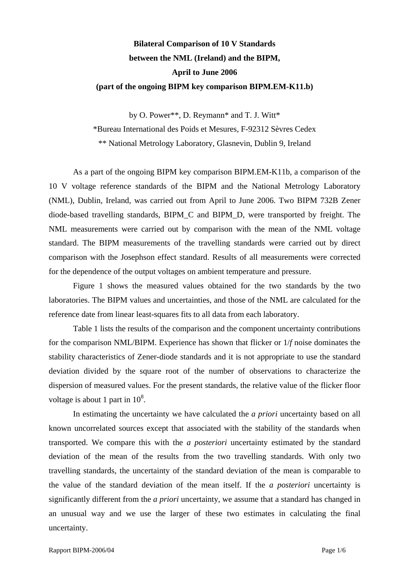## **Bilateral Comparison of 10 V Standards between the NML (Ireland) and the BIPM, April to June 2006 (part of the ongoing BIPM key comparison BIPM.EM-K11.b)**

by O. Power\*\*, D. Reymann\* and T. J. Witt\*

\*Bureau International des Poids et Mesures, F-92312 Sèvres Cedex

\*\* National Metrology Laboratory, Glasnevin, Dublin 9, Ireland

As a part of the ongoing BIPM key comparison BIPM.EM-K11b, a comparison of the 10 V voltage reference standards of the BIPM and the National Metrology Laboratory (NML), Dublin, Ireland, was carried out from April to June 2006. Two BIPM 732B Zener diode-based travelling standards, BIPM\_C and BIPM\_D, were transported by freight. The NML measurements were carried out by comparison with the mean of the NML voltage standard. The BIPM measurements of the travelling standards were carried out by direct comparison with the Josephson effect standard. Results of all measurements were corrected for the dependence of the output voltages on ambient temperature and pressure.

Figure 1 shows the measured values obtained for the two standards by the two laboratories. The BIPM values and uncertainties, and those of the NML are calculated for the reference date from linear least-squares fits to all data from each laboratory.

Table 1 lists the results of the comparison and the component uncertainty contributions for the comparison NML/BIPM. Experience has shown that flicker or 1/*f* noise dominates the stability characteristics of Zener-diode standards and it is not appropriate to use the standard deviation divided by the square root of the number of observations to characterize the dispersion of measured values. For the present standards, the relative value of the flicker floor voltage is about 1 part in  $10^8$ .

In estimating the uncertainty we have calculated the *a priori* uncertainty based on all known uncorrelated sources except that associated with the stability of the standards when transported. We compare this with the *a posteriori* uncertainty estimated by the standard deviation of the mean of the results from the two travelling standards. With only two travelling standards, the uncertainty of the standard deviation of the mean is comparable to the value of the standard deviation of the mean itself. If the *a posteriori* uncertainty is significantly different from the *a priori* uncertainty, we assume that a standard has changed in an unusual way and we use the larger of these two estimates in calculating the final uncertainty.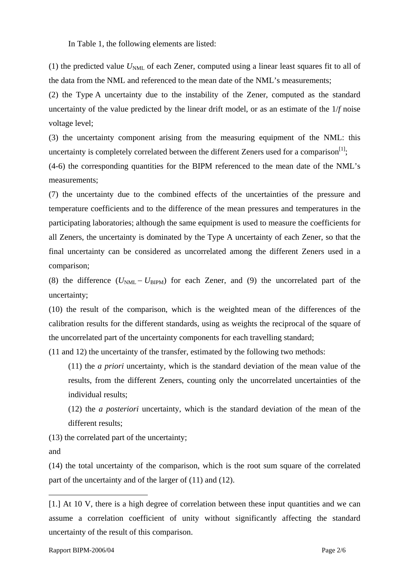In Table 1, the following elements are listed:

(1) the predicted value  $U_{NML}$  of each Zener, computed using a linear least squares fit to all of the data from the NML and referenced to the mean date of the NML's measurements;

(2) the Type A uncertainty due to the instability of the Zener, computed as the standard uncertainty of the value predicted by the linear drift model, or as an estimate of the 1/*f* noise voltage level;

(3) the uncertainty component arising from the measuring equipment of the NML: this uncertainty is completely correlated between the different Zeners used for a comparison<sup>[[1\]](#page-3-0)</sup>;

(4-6) the corresponding quantities for the BIPM referenced to the mean date of the NML's measurements;

(7) the uncertainty due to the combined effects of the uncertainties of the pressure and temperature coefficients and to the difference of the mean pressures and temperatures in the participating laboratories; although the same equipment is used to measure the coefficients for all Zeners, the uncertainty is dominated by the Type A uncertainty of each Zener, so that the final uncertainty can be considered as uncorrelated among the different Zeners used in a comparison;

(8) the difference  $(U_{NML} - U_{BIPM})$  for each Zener, and (9) the uncorrelated part of the uncertainty;

(10) the result of the comparison, which is the weighted mean of the differences of the calibration results for the different standards, using as weights the reciprocal of the square of the uncorrelated part of the uncertainty components for each travelling standard;

(11 and 12) the uncertainty of the transfer, estimated by the following two methods:

(11) the *a priori* uncertainty, which is the standard deviation of the mean value of the results, from the different Zeners, counting only the uncorrelated uncertainties of the individual results;

(12) the *a posteriori* uncertainty, which is the standard deviation of the mean of the different results;

(13) the correlated part of the uncertainty;

and

 $\overline{a}$ 

(14) the total uncertainty of the comparison, which is the root sum square of the correlated part of the uncertainty and of the larger of (11) and (12).

<span id="page-3-0"></span><sup>[1.]</sup> At 10 V, there is a high degree of correlation between these input quantities and we can assume a correlation coefficient of unity without significantly affecting the standard uncertainty of the result of this comparison.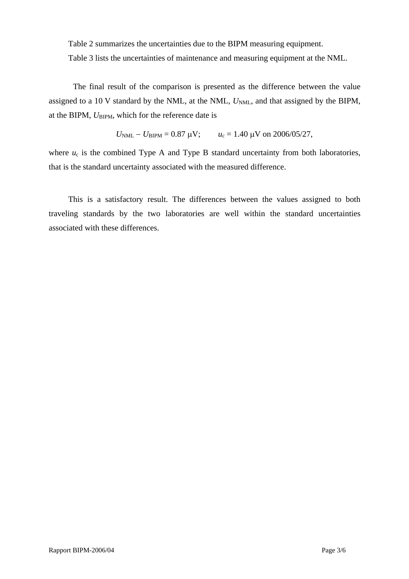Table 2 summarizes the uncertainties due to the BIPM measuring equipment.

Table 3 lists the uncertainties of maintenance and measuring equipment at the NML.

The final result of the comparison is presented as the difference between the value assigned to a 10 V standard by the NML, at the NML,  $U_{NML}$ , and that assigned by the BIPM, at the BIPM,  $U_{\text{BIPM}}$ , which for the reference date is

$$
U_{\text{NML}} - U_{\text{BIPM}} = 0.87 \text{ }\mu\text{V};
$$
  $u_c = 1.40 \text{ }\mu\text{V on } 2006/05/27,$ 

where  $u_c$  is the combined Type A and Type B standard uncertainty from both laboratories, that is the standard uncertainty associated with the measured difference.

This is a satisfactory result. The differences between the values assigned to both traveling standards by the two laboratories are well within the standard uncertainties associated with these differences.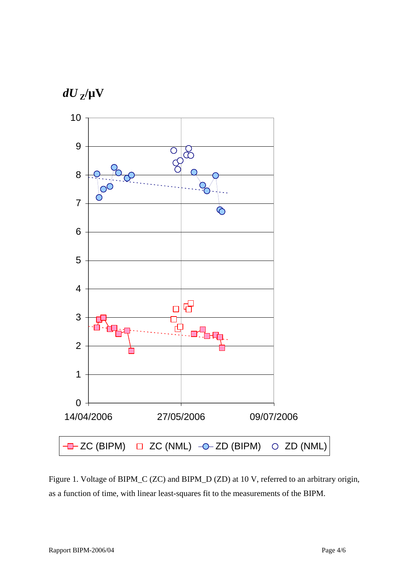

Figure 1. Voltage of BIPM\_C (ZC) and BIPM\_D (ZD) at 10 V, referred to an arbitrary origin, as a function of time, with linear least-squares fit to the measurements of the BIPM.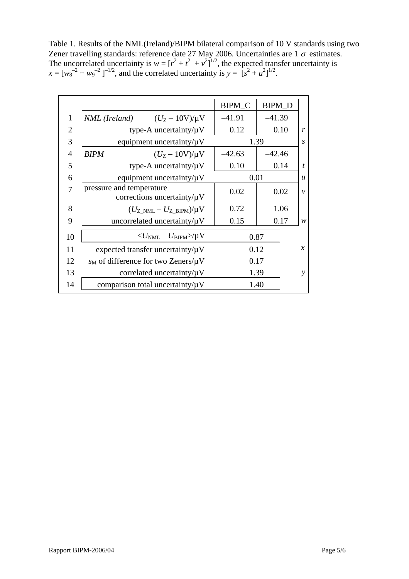Table 1. Results of the NML(Ireland)/BIPM bilateral comparison of 10 V standards using two Zener travelling standards: reference date 27 May 2006. Uncertainties are  $1\sigma$  estimates. The uncorrelated uncertainty is  $w = [r^2 + t^2 + v^2]^{1/2}$ , the expected transfer uncertainty is  $x = [w_8^{-2} + w_9^{-2}]^{-1/2}$ , and the correlated uncertainty is  $y = [s^2 + u^2]^{1/2}$ .

|                |                                                              | <b>BIPM_C</b> | <b>BIPM_D</b>               |               |
|----------------|--------------------------------------------------------------|---------------|-----------------------------|---------------|
| $\mathbf{1}$   | <i>NML</i> ( <i>Ireland</i> ) $(U_Z - 10V)/\mu V$            | $-41.91$      | $-41.39$                    |               |
| $\overline{2}$ | type-A uncertainty/ $\mu$ V                                  | 0.12          | 0.10                        | r             |
| 3              | equipment uncertainty/ $\mu$ V                               |               | 1.39<br>S                   |               |
| $\overline{4}$ | <b>BIPM</b><br>$(U_{Z} - 10V)/\mu V$                         | $-42.63$      | $-42.46$                    |               |
| 5              | type-A uncertainty/ $\mu$ V                                  | 0.10          | 0.14                        | t             |
| 6              | equipment uncertainty/ $\mu$ V                               |               | 0.01<br>$\boldsymbol{u}$    |               |
| 7              | pressure and temperature<br>corrections uncertainty/ $\mu$ V | 0.02          | 0.02                        | $\mathcal{V}$ |
| 8              | $(U_{Z>NML}-U_{Z-BIPM})/\mu V$                               | 0.72          | 1.06                        |               |
| 9              | uncorrelated uncertainty/ $\mu$ V                            | 0.15          | 0.17                        | w             |
| 10             | $\langle U_{\rm NML} - U_{\rm BIPM} \rangle / \mu V$         |               | 0.87                        |               |
| 11             | expected transfer uncertainty/ $\mu$ V                       |               | $\boldsymbol{\chi}$<br>0.12 |               |
| 12             | $s_M$ of difference for two Zeners/ $\mu$ V                  |               | 0.17                        |               |
| 13             | correlated uncertainty/ $\mu$ V                              |               | 1.39<br>y                   |               |
| 14             | comparison total uncertainty/ $\mu$ V                        | 1.40          |                             |               |
|                |                                                              |               |                             |               |